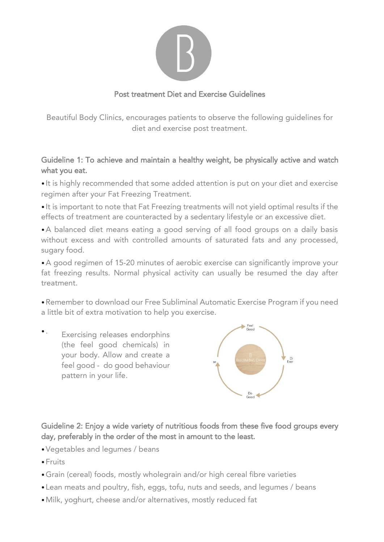

## Post treatment Diet and Exercise Guidelines

Beautiful Body Clinics, encourages patients to observe the following guidelines for diet and exercise post treatment.

## Guideline 1: To achieve and maintain a healthy weight, be physically active and watch what you eat.

• It is highly recommended that some added attention is put on your diet and exercise regimen after your Fat Freezing Treatment.

• It is important to note that Fat Freezing treatments will not yield optimal results if the effects of treatment are counteracted by a sedentary lifestyle or an excessive diet.

•A balanced diet means eating a good serving of all food groups on a daily basis without excess and with controlled amounts of saturated fats and any processed, sugary food.

•A good regimen of 15-20 minutes of aerobic exercise can significantly improve your fat freezing results. Normal physical activity can usually be resumed the day after treatment.

•Remember to download our Free Subliminal Automatic Exercise Program if you need a little bit of extra motivation to help you exercise.

 $\bullet$  . Exercising releases endorphins (the feel good chemicals) in your body. Allow and create a feel good - do good behaviour pattern in your life.



Guideline 2: Enjoy a wide variety of nutritious foods from these five food groups every day, preferably in the order of the most in amount to the least.

- •Vegetables and legumes / beans
- •Fruits
- •Grain (cereal) foods, mostly wholegrain and/or high cereal fibre varieties
- Lean meats and poultry, fish, eggs, tofu, nuts and seeds, and legumes / beans
- •Milk, yoghurt, cheese and/or alternatives, mostly reduced fat